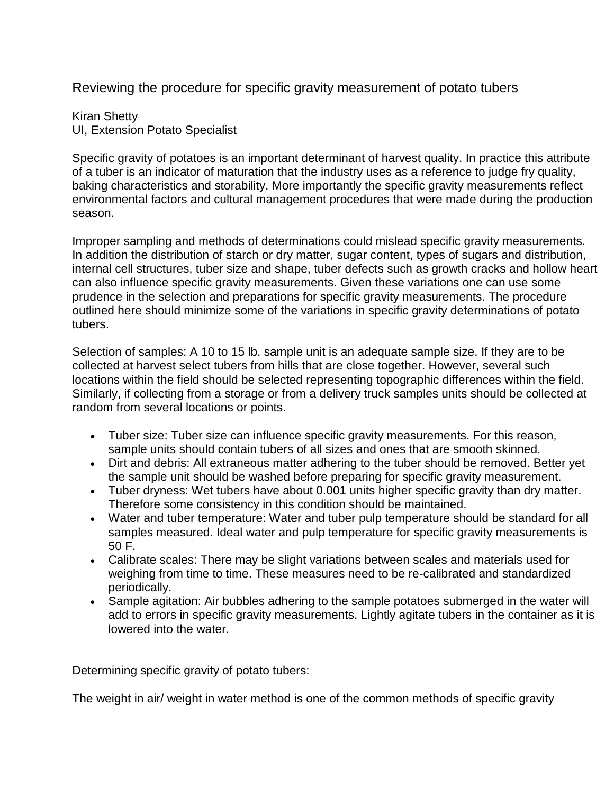Reviewing the procedure for specific gravity measurement of potato tubers

Kiran Shetty UI, Extension Potato Specialist

Specific gravity of potatoes is an important determinant of harvest quality. In practice this attribute of a tuber is an indicator of maturation that the industry uses as a reference to judge fry quality, baking characteristics and storability. More importantly the specific gravity measurements reflect environmental factors and cultural management procedures that were made during the production season.

Improper sampling and methods of determinations could mislead specific gravity measurements. In addition the distribution of starch or dry matter, sugar content, types of sugars and distribution, internal cell structures, tuber size and shape, tuber defects such as growth cracks and hollow heart can also influence specific gravity measurements. Given these variations one can use some prudence in the selection and preparations for specific gravity measurements. The procedure outlined here should minimize some of the variations in specific gravity determinations of potato tubers.

Selection of samples: A 10 to 15 lb. sample unit is an adequate sample size. If they are to be collected at harvest select tubers from hills that are close together. However, several such locations within the field should be selected representing topographic differences within the field. Similarly, if collecting from a storage or from a delivery truck samples units should be collected at random from several locations or points.

- Tuber size: Tuber size can influence specific gravity measurements. For this reason, sample units should contain tubers of all sizes and ones that are smooth skinned.
- Dirt and debris: All extraneous matter adhering to the tuber should be removed. Better yet the sample unit should be washed before preparing for specific gravity measurement.
- Tuber dryness: Wet tubers have about 0.001 units higher specific gravity than dry matter. Therefore some consistency in this condition should be maintained.
- Water and tuber temperature: Water and tuber pulp temperature should be standard for all samples measured. Ideal water and pulp temperature for specific gravity measurements is 50 F.
- Calibrate scales: There may be slight variations between scales and materials used for weighing from time to time. These measures need to be re-calibrated and standardized periodically.
- Sample agitation: Air bubbles adhering to the sample potatoes submerged in the water will add to errors in specific gravity measurements. Lightly agitate tubers in the container as it is lowered into the water.

Determining specific gravity of potato tubers:

The weight in air/ weight in water method is one of the common methods of specific gravity